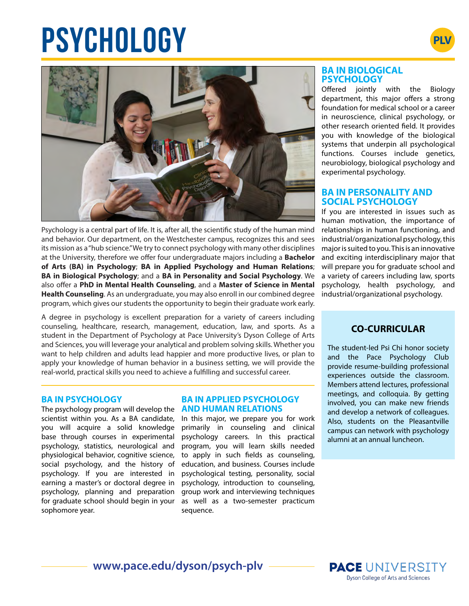# **PSYCHOLOGY**





Psychology is a central part of life. It is, after all, the scientific study of the human mind and behavior. Our department, on the Westchester campus, recognizes this and sees its mission as a "hub science." We try to connect psychology with many other disciplines at the University, therefore we offer four undergraduate majors including a **Bachelor of Arts (BA) in Psychology**; **BA in Applied Psychology and Human Relations**; **BA in Biological Psychology**; and a **BA in Personality and Social Psychology**. We also offer a **PhD in Mental Health Counseling**, and a **Master of Science in Mental Health Counseling**. As an undergraduate, you may also enroll in our combined degree program, which gives our students the opportunity to begin their graduate work early.

A degree in psychology is excellent preparation for a variety of careers including counseling, healthcare, research, management, education, law, and sports. As a student in the Department of Psychology at Pace University's Dyson College of Arts and Sciences, you will leverage your analytical and problem solving skills. Whether you want to help children and adults lead happier and more productive lives, or plan to apply your knowledge of human behavior in a business setting, we will provide the real-world, practical skills you need to achieve a fulfilling and successful career.

#### **BA IN PSYCHOLOGY**

The psychology program will develop the scientist within you. As a BA candidate, you will acquire a solid knowledge base through courses in experimental psychology, statistics, neurological and physiological behavior, cognitive science, social psychology, and the history of psychology. If you are interested in earning a master's or doctoral degree in psychology, planning and preparation for graduate school should begin in your sophomore year.

### **BA IN APPLIED PSYCHOLOGY AND HUMAN RELATIONS**

In this major, we prepare you for work primarily in counseling and clinical psychology careers. In this practical program, you will learn skills needed to apply in such fields as counseling, education, and business. Courses include psychological testing, personality, social psychology, introduction to counseling, group work and interviewing techniques as well as a two-semester practicum sequence.

### **BA IN BIOLOGICAL PSYCHOLOGY**

Offered jointly with the Biology department, this major offers a strong foundation for medical school or a career in neuroscience, clinical psychology, or other research oriented field. It provides you with knowledge of the biological systems that underpin all psychological functions. Courses include genetics, neurobiology, biological psychology and experimental psychology.

### **BA IN PERSONALITY AND SOCIAL PSYCHOLOGY**

If you are interested in issues such as human motivation, the importance of relationships in human functioning, and industrial/organizational psychology, this major is suited to you. This is an innovative and exciting interdisciplinary major that will prepare you for graduate school and a variety of careers including law, sports psychology, health psychology, and industrial/organizational psychology.

# **CO-CURRICULAR**

The student-led Psi Chi honor society and the Pace Psychology Club provide resume-building professional experiences outside the classroom. Members attend lectures, professional meetings, and colloquia. By getting involved, you can make new friends and develop a network of colleagues. Also, students on the Pleasantville campus can network with psychology alumni at an annual luncheon.